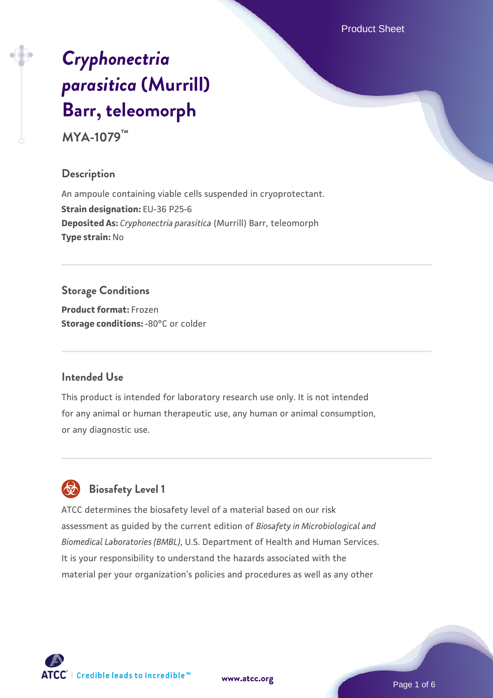Product Sheet

# *[Cryphonectria](https://www.atcc.org/products/mya-1079) [parasitica](https://www.atcc.org/products/mya-1079)* **[\(Murrill\)](https://www.atcc.org/products/mya-1079) [Barr, teleomorph](https://www.atcc.org/products/mya-1079)**

**MYA-1079™**

#### **Description**

An ampoule containing viable cells suspended in cryoprotectant. **Strain designation:** EU-36 P25-6 **Deposited As:** *Cryphonectria parasitica* (Murrill) Barr, teleomorph **Type strain:** No

## **Storage Conditions**

**Product format:** Frozen **Storage conditions: -80°C** or colder

#### **Intended Use**

This product is intended for laboratory research use only. It is not intended for any animal or human therapeutic use, any human or animal consumption, or any diagnostic use.



# **Biosafety Level 1**

ATCC determines the biosafety level of a material based on our risk assessment as guided by the current edition of *Biosafety in Microbiological and Biomedical Laboratories (BMBL)*, U.S. Department of Health and Human Services. It is your responsibility to understand the hazards associated with the material per your organization's policies and procedures as well as any other

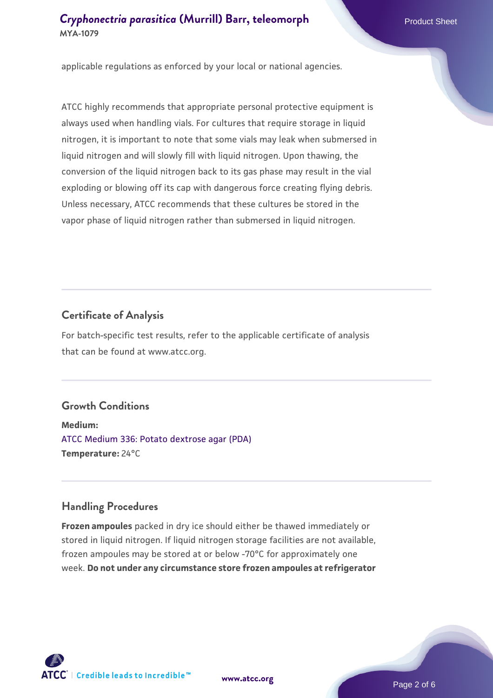applicable regulations as enforced by your local or national agencies.

ATCC highly recommends that appropriate personal protective equipment is always used when handling vials. For cultures that require storage in liquid nitrogen, it is important to note that some vials may leak when submersed in liquid nitrogen and will slowly fill with liquid nitrogen. Upon thawing, the conversion of the liquid nitrogen back to its gas phase may result in the vial exploding or blowing off its cap with dangerous force creating flying debris. Unless necessary, ATCC recommends that these cultures be stored in the vapor phase of liquid nitrogen rather than submersed in liquid nitrogen.

#### **Certificate of Analysis**

For batch-specific test results, refer to the applicable certificate of analysis that can be found at www.atcc.org.

## **Growth Conditions**

**Medium:**  [ATCC Medium 336: Potato dextrose agar \(PDA\)](https://www.atcc.org/-/media/product-assets/documents/microbial-media-formulations/3/3/6/atcc-medium-336.pdf?rev=d9160ad44d934cd8b65175461abbf3b9) **Temperature:** 24°C

#### **Handling Procedures**

**Frozen ampoules** packed in dry ice should either be thawed immediately or stored in liquid nitrogen. If liquid nitrogen storage facilities are not available, frozen ampoules may be stored at or below -70°C for approximately one week. **Do not under any circumstance store frozen ampoules at refrigerator**



**[www.atcc.org](http://www.atcc.org)**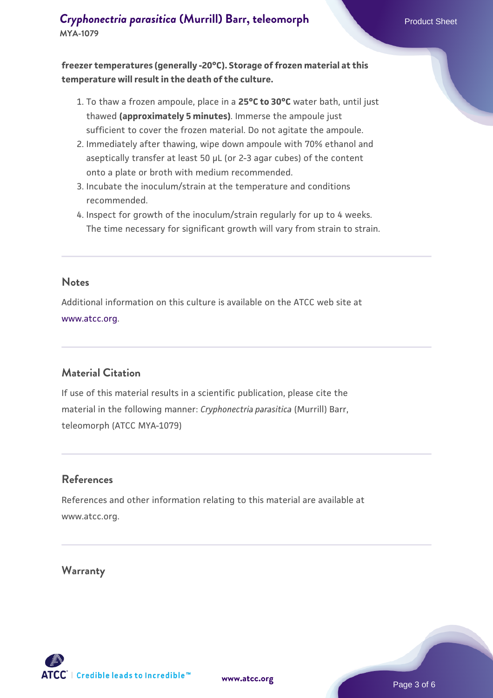**freezer temperatures (generally -20°C). Storage of frozen material at this temperature will result in the death of the culture.**

- 1. To thaw a frozen ampoule, place in a **25°C to 30°C** water bath, until just thawed **(approximately 5 minutes)**. Immerse the ampoule just sufficient to cover the frozen material. Do not agitate the ampoule.
- 2. Immediately after thawing, wipe down ampoule with 70% ethanol and aseptically transfer at least 50 µL (or 2-3 agar cubes) of the content onto a plate or broth with medium recommended.
- 3. Incubate the inoculum/strain at the temperature and conditions recommended.
- 4. Inspect for growth of the inoculum/strain regularly for up to 4 weeks. The time necessary for significant growth will vary from strain to strain.

#### **Notes**

Additional information on this culture is available on the ATCC web site at [www.atcc.org.](http://www.atcc.org/)

## **Material Citation**

If use of this material results in a scientific publication, please cite the material in the following manner: *Cryphonectria parasitica* (Murrill) Barr, teleomorph (ATCC MYA-1079)

#### **References**

References and other information relating to this material are available at www.atcc.org.

#### **Warranty**

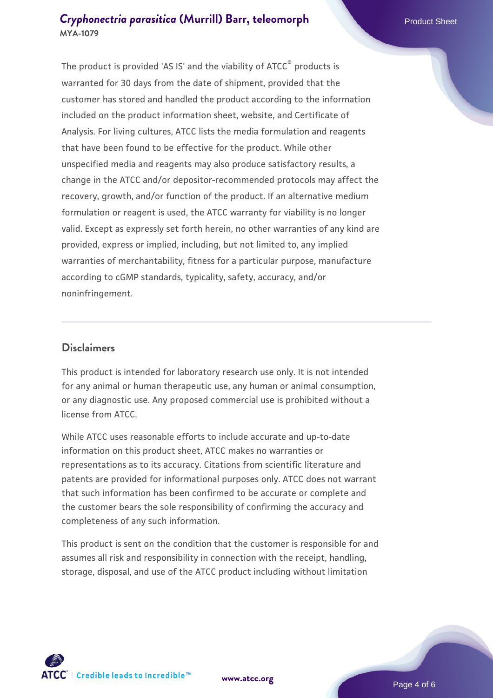The product is provided 'AS IS' and the viability of ATCC® products is warranted for 30 days from the date of shipment, provided that the customer has stored and handled the product according to the information included on the product information sheet, website, and Certificate of Analysis. For living cultures, ATCC lists the media formulation and reagents that have been found to be effective for the product. While other unspecified media and reagents may also produce satisfactory results, a change in the ATCC and/or depositor-recommended protocols may affect the recovery, growth, and/or function of the product. If an alternative medium formulation or reagent is used, the ATCC warranty for viability is no longer valid. Except as expressly set forth herein, no other warranties of any kind are provided, express or implied, including, but not limited to, any implied warranties of merchantability, fitness for a particular purpose, manufacture according to cGMP standards, typicality, safety, accuracy, and/or noninfringement.

#### **Disclaimers**

This product is intended for laboratory research use only. It is not intended for any animal or human therapeutic use, any human or animal consumption, or any diagnostic use. Any proposed commercial use is prohibited without a license from ATCC.

While ATCC uses reasonable efforts to include accurate and up-to-date information on this product sheet, ATCC makes no warranties or representations as to its accuracy. Citations from scientific literature and patents are provided for informational purposes only. ATCC does not warrant that such information has been confirmed to be accurate or complete and the customer bears the sole responsibility of confirming the accuracy and completeness of any such information.

This product is sent on the condition that the customer is responsible for and assumes all risk and responsibility in connection with the receipt, handling, storage, disposal, and use of the ATCC product including without limitation



**[www.atcc.org](http://www.atcc.org)**

Page 4 of 6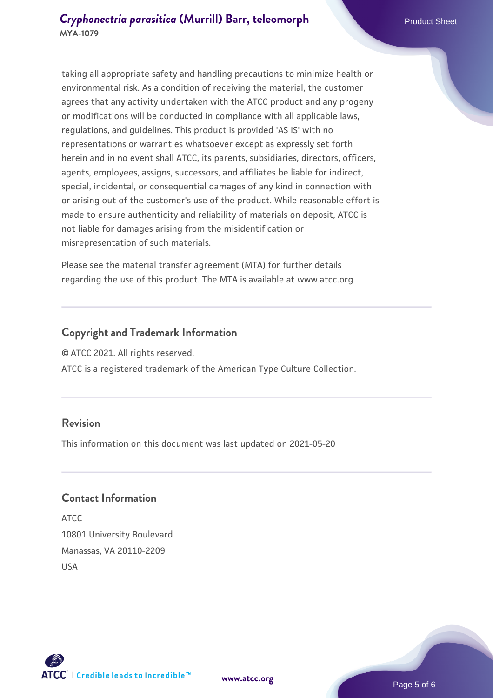taking all appropriate safety and handling precautions to minimize health or environmental risk. As a condition of receiving the material, the customer agrees that any activity undertaken with the ATCC product and any progeny or modifications will be conducted in compliance with all applicable laws, regulations, and guidelines. This product is provided 'AS IS' with no representations or warranties whatsoever except as expressly set forth herein and in no event shall ATCC, its parents, subsidiaries, directors, officers, agents, employees, assigns, successors, and affiliates be liable for indirect, special, incidental, or consequential damages of any kind in connection with or arising out of the customer's use of the product. While reasonable effort is made to ensure authenticity and reliability of materials on deposit, ATCC is not liable for damages arising from the misidentification or misrepresentation of such materials.

Please see the material transfer agreement (MTA) for further details regarding the use of this product. The MTA is available at www.atcc.org.

#### **Copyright and Trademark Information**

© ATCC 2021. All rights reserved.

ATCC is a registered trademark of the American Type Culture Collection.

#### **Revision**

This information on this document was last updated on 2021-05-20

#### **Contact Information**

ATCC 10801 University Boulevard Manassas, VA 20110-2209 USA